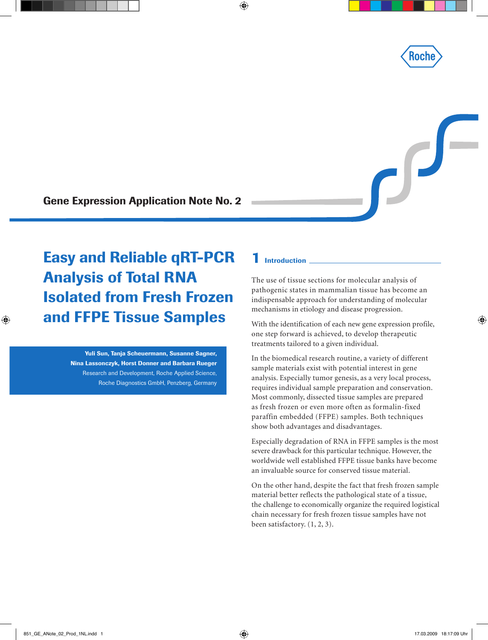

 $\int$ 

Gene Expression Application Note No. 2

Easy and Reliable qRT-PCR Analysis of Total RNA Isolated from Fresh Frozen and FFPE Tissue Samples

> Yuli Sun, Tanja Scheuermann, Susanne Sagner, Nina Lassonczyk, Horst Donner and Barbara Rueger Research and Development, Roche Applied Science, Roche Diagnostics GmbH, Penzberg, Germany

## 1 Introduction

The use of tissue sections for molecular analysis of pathogenic states in mammalian tissue has become an indispensable approach for understanding of molecular mechanisms in etiology and disease progression.

With the identification of each new gene expression profile, one step forward is achieved, to develop therapeutic treatments tailored to a given individual.

In the biomedical research routine, a variety of different sample materials exist with potential interest in gene analysis. Especially tumor genesis, as a very local process, requires individual sample preparation and conservation. Most commonly, dissected tissue samples are prepared as fresh frozen or even more often as formalin-fixed paraffin embedded (FFPE) samples. Both techniques show both advantages and disadvantages.

Especially degradation of RNA in FFPE samples is the most severe drawback for this particular technique. However, the worldwide well established FFPE tissue banks have become an invaluable source for conserved tissue material.

On the other hand, despite the fact that fresh frozen sample material better reflects the pathological state of a tissue, the challenge to economically organize the required logistical chain necessary for fresh frozen tissue samples have not been satisfactory. (1, 2, 3).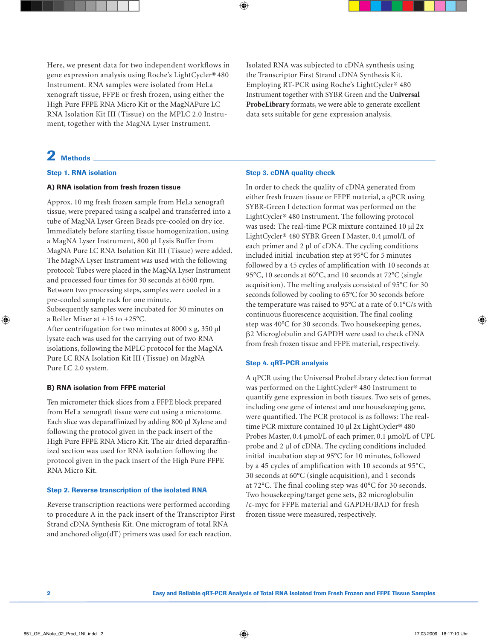Here, we present data for two independent workflows in gene expression analysis using Roche's LightCycler® 480 Instrument. RNA samples were isolated from HeLa xenograft tissue, FFPE or fresh frozen, using either the High Pure FFPE RNA Micro Kit or the MagNAPure LC RNA Isolation Kit III (Tissue) on the MPLC 2.0 Instrument, together with the MagNA Lyser Instrument.

## Isolated RNA was subjected to cDNA synthesis using the Transcriptor First Strand cDNA Synthesis Kit. Employing RT-PCR using Roche's LightCycler® 480 Instrument together with SYBR Green and the **Universal ProbeLibrary** formats, we were able to generate excellent data sets suitable for gene expression analysis.

## 2 Methods

## Step 1. RNA isolation

## A) RNA isolation from fresh frozen tissue

Approx. 10 mg fresh frozen sample from HeLa xenograft tissue, were prepared using a scalpel and transferred into a tube of MagNA Lyser Green Beads pre-cooled on dry ice. Immediately before starting tissue homogenization, using a MagNA Lyser Instrument, 800 µl Lysis Buffer from MagNA Pure LC RNA Isolation Kit III (Tissue) were added. The MagNA Lyser Instrument was used with the following protocol: Tubes were placed in the MagNA Lyser Instrument and processed four times for 30 seconds at 6500 rpm. Between two processing steps, samples were cooled in a pre-cooled sample rack for one minute.

Subsequently samples were incubated for 30 minutes on a Roller Mixer at +15 to +25°C.

After centrifugation for two minutes at 8000 x g, 350 µl lysate each was used for the carrying out of two RNA isolations, following the MPLC protocol for the MagNA Pure LC RNA Isolation Kit III (Tissue) on MagNA Pure LC 2.0 system.

## B) RNA isolation from FFPE material

Ten micrometer thick slices from a FFPE block prepared from HeLa xenograft tissue were cut using a microtome. Each slice was deparaffinized by adding 800 µl Xylene and following the protocol given in the pack insert of the High Pure FFPE RNA Micro Kit. The air dried deparaffinized section was used for RNA isolation following the protocol given in the pack insert of the High Pure FFPE RNA Micro Kit.

## Step 2. Reverse transcription of the isolated RNA

Reverse transcription reactions were performed according to procedure A in the pack insert of the Transcriptor First Strand cDNA Synthesis Kit. One microgram of total RNA and anchored oligo(dT) primers was used for each reaction.

## Step 3. cDNA quality check

In order to check the quality of cDNA generated from either fresh frozen tissue or FFPE material, a qPCR using SYBR-Green I detection format was performed on the LightCycler® 480 Instrument. The following protocol was used: The real-time PCR mixture contained 10 µl 2x LightCycler® 480 SYBR Green I Master, 0.4 µmol/L of each primer and  $2 \mu$ l of cDNA. The cycling conditions included initial incubation step at 95°C for 5 minutes followed by a 45 cycles of amplification with 10 seconds at 95°C, 10 seconds at 60°C, and 10 seconds at 72°C (single acquisition). The melting analysis consisted of 95°C for 30 seconds followed by cooling to 65°C for 30 seconds before the temperature was raised to 95°C at a rate of 0.1°C/s with continuous fluorescence acquisition. The final cooling step was 40°C for 30 seconds. Two housekeeping genes, 2 Microglobulin and GAPDH were used to check cDNA from fresh frozen tissue and FFPE material, respectively.

#### Step 4. qRT-PCR analysis

A qPCR using the Universal ProbeLibrary detection format was performed on the LightCycler® 480 Instrument to quantify gene expression in both tissues. Two sets of genes, including one gene of interest and one housekeeping gene, were quantified. The PCR protocol is as follows: The realtime PCR mixture contained 10 µl 2x LightCycler® 480 Probes Master, 0.4  $\mu$ mol/L of each primer, 0.1  $\mu$ mol/L of UPL probe and 2 µl of cDNA. The cycling conditions included initial incubation step at 95°C for 10 minutes, followed by a 45 cycles of amplification with 10 seconds at 95°C, 30 seconds at 60°C (single acquisition), and 1 seconds at 72°C. The final cooling step was 40°C for 30 seconds. Two housekeeping/target gene sets,  $\beta$ 2 microglobulin /c-myc for FFPE material and GAPDH/BAD for fresh frozen tissue were measured, respectively.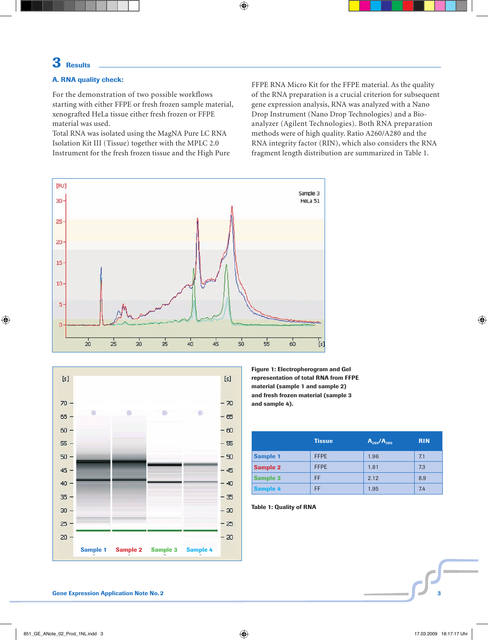# 3 Results

## A. RNA quality check:

For the demonstration of two possible workflows starting with either FFPE or fresh frozen sample material, xenografted HeLa tissue either fresh frozen or FFPE material was used.

Total RNA was isolated using the MagNA Pure LC RNA Isolation Kit III (Tissue) together with the MPLC 2.0 Instrument for the fresh frozen tissue and the High Pure FFPE RNA Micro Kit for the FFPE material. As the quality of the RNA preparation is a crucial criterion for subsequent gene expression analysis, RNA was analyzed with a Nano Drop Instrument (Nano Drop Technologies) and a Bioanalyzer (Agilent Technologies). Both RNA preparation methods were of high quality. Ratio A260/A280 and the RNA integrity factor (RIN), which also considers the RNA fragment length distribution are summarized in Table 1.





Figure 1: Electropherogram and Gel representation of total RNA from FFPE material (sample 1 and sample 2) and fresh frozen material (sample 3 and sample 4).

|                 | <b>Tissue</b> | $A_{260}/A_{280}$ | <b>RIN</b> |
|-----------------|---------------|-------------------|------------|
| <b>Sample 1</b> | <b>FFPE</b>   | 1.96              | 7.1        |
| <b>Sample 2</b> | <b>FFPE</b>   | 1.81              | 7.3        |
| <b>Sample 3</b> | FF            | 2.12              | 8.9        |
| <b>Sample 4</b> | FF            | 1.95              | 7.4        |

Table 1: Quality of RNA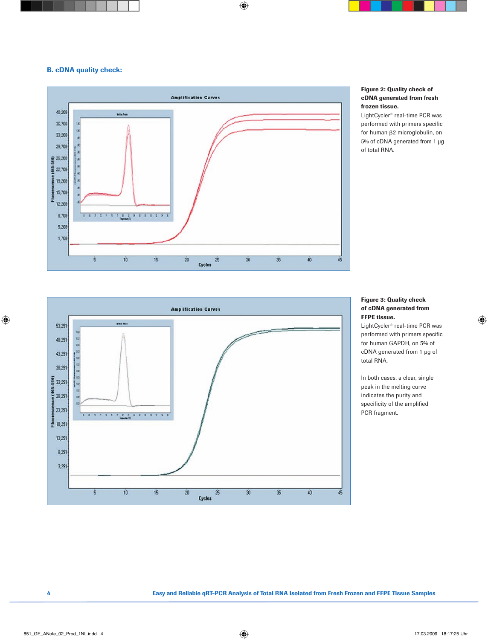#### B. cDNA quality check:



#### Figure 2: Quality check of cDNA generated from fresh frozen tissue.

LightCycler® real-time PCR was performed with primers specific for human  $\beta$ 2 microglobulin, on 5% of cDNA generated from 1 µg of total RNA.



## Figure 3: Quality check of cDNA generated from FFPE tissue.

LightCycler® real-time PCR was performed with primers specific for human GAPDH, on 5% of cDNA generated from 1 µg of total RNA.

In both cases, a clear, single peak in the melting curve indicates the purity and specificity of the amplified PCR fragment.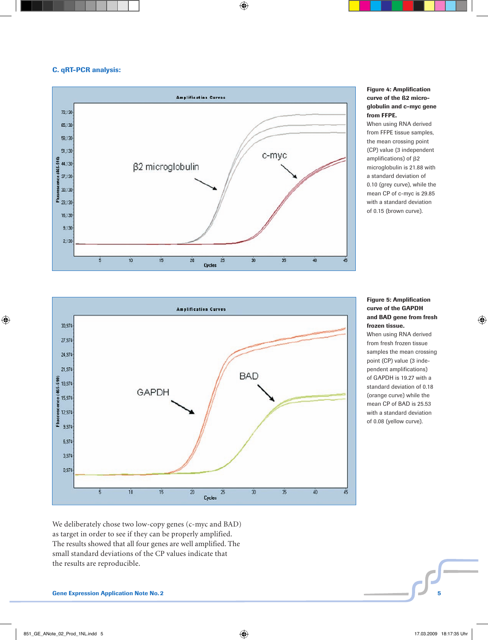## C. qRT-PCR analysis:



## Figure 4: Amplification curve of the ß2 microglobulin and c-myc gene from FFPE.

When using RNA derived from FFPE tissue samples, the mean crossing point (CP) value (3 independent amplifications) of  $\beta$ 2 microglobulin is 21.88 with a standard deviation of 0.10 (grey curve), while the mean CP of c-myc is 29.85 with a standard deviation of 0.15 (brown curve).



## Figure 5: Amplification curve of the GAPDH and BAD gene from fresh frozen tissue.

When using RNA derived from fresh frozen tissue samples the mean crossing point (CP) value (3 independent amplifications) of GAPDH is 19.27 with a standard deviation of 0.18 (orange curve) while the mean CP of BAD is 25.53 with a standard deviation of 0.08 (yellow curve).

We deliberately chose two low-copy genes (c-myc and BAD) as target in order to see if they can be properly amplified. The results showed that all four genes are well amplified. The small standard deviations of the CP values indicate that the results are reproducible.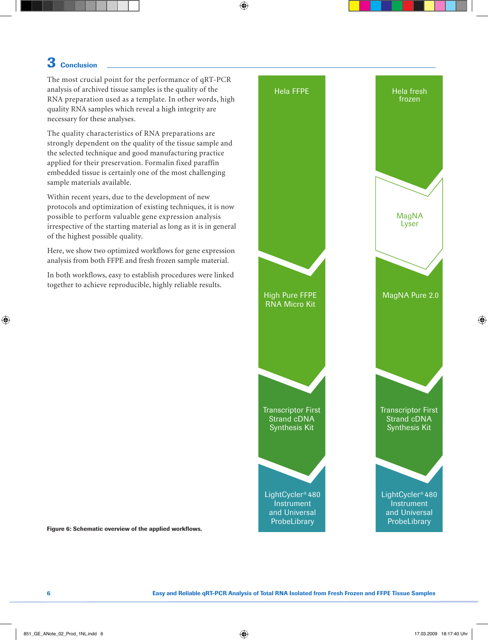## 3 Conclusion

The most crucial point for the performance of qRT-PCR analysis of archived tissue samples is the quality of the RNA preparation used as a template. In other words, high quality RNA samples which reveal a high integrity are necessary for these analyses.

The quality characteristics of RNA preparations are strongly dependent on the quality of the tissue sample and the selected technique and good manufacturing practice applied for their preservation. Formalin fixed paraffin embedded tissue is certainly one of the most challenging sample materials available.

Within recent years, due to the development of new protocols and optimization of existing techniques, it is now possible to perform valuable gene expression analysis irrespective of the starting material as long as it is in general of the highest possible quality.

Here, we show two optimized workflows for gene expression analysis from both FFPE and fresh frozen sample material.

In both workflows, easy to establish procedures were linked together to achieve reproducible, highly reliable results.



Figure 6: Schematic overview of the applied workflows.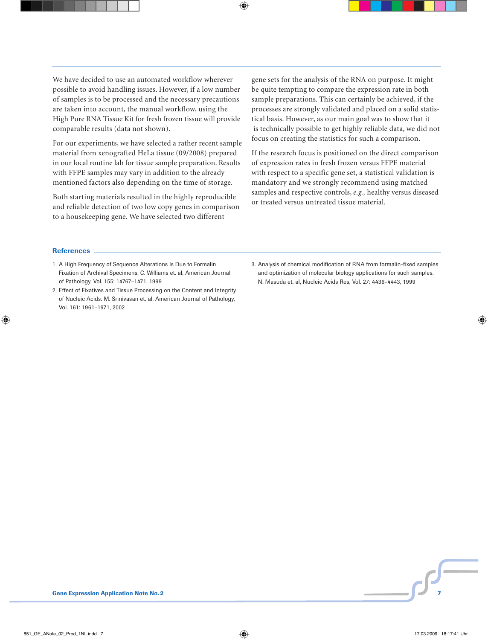We have decided to use an automated workflow wherever possible to avoid handling issues. However, if a low number of samples is to be processed and the necessary precautions are taken into account, the manual workflow, using the High Pure RNA Tissue Kit for fresh frozen tissue will provide comparable results (data not shown).

For our experiments, we have selected a rather recent sample material from xenografted HeLa tissue (09/2008) prepared in our local routine lab for tissue sample preparation. Results with FFPE samples may vary in addition to the already mentioned factors also depending on the time of storage.

Both starting materials resulted in the highly reproducible and reliable detection of two low copy genes in comparison to a housekeeping gene. We have selected two different

gene sets for the analysis of the RNA on purpose. It might be quite tempting to compare the expression rate in both sample preparations. This can certainly be achieved, if the processes are strongly validated and placed on a solid statistical basis. However, as our main goal was to show that it is technically possible to get highly reliable data, we did not focus on creating the statistics for such a comparison.

If the research focus is positioned on the direct comparison of expression rates in fresh frozen versus FFPE material with respect to a specific gene set, a statistical validation is mandatory and we strongly recommend using matched samples and respective controls, *e.g.,* healthy versus diseased or treated versus untreated tissue material.

#### References

- 1. A High Frequency of Sequence Alterations Is Due to Formalin Fixation of Archival Specimens. C. Williams et. al, American Journal of Pathology, Vol. 155: 14767–1471, 1999
- 2. Effect of Fixatives and Tissue Processing on the Content and Integrity of Nucleic Acids. M. Srinivasan et. al, American Journal of Pathology, Vol. 161: 1961–1971, 2002
- 3. Analysis of chemical modification of RNA from formalin-fixed samples and optimization of molecular biology applications for such samples. N. Masuda et. al, Nucleic Acids Res, Vol. 27: 4436–4443, 1999